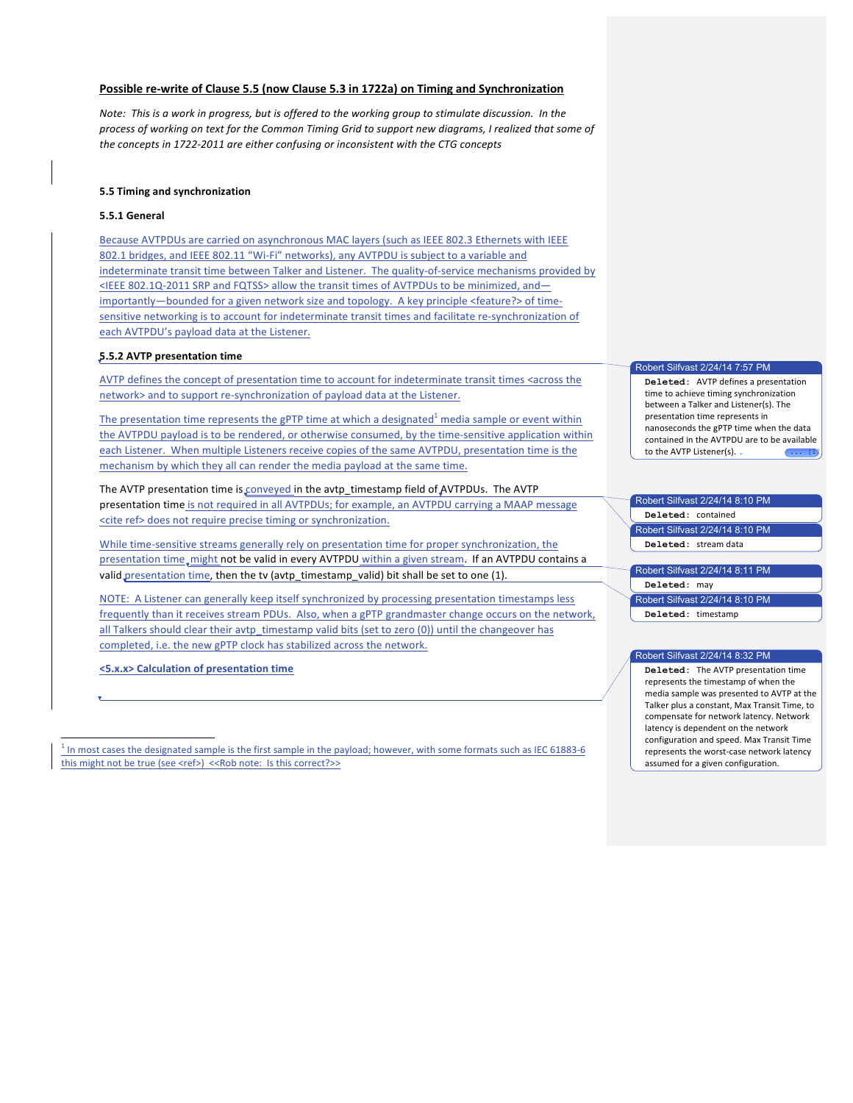# **Possible re-write of Clause 5.5 (now Clause 5.3 in 1722a) on Timing and Synchronization**

Note: This is a work in progress, but is offered to the working group to stimulate discussion. In the process of working on text for the Common Timing Grid to support new diagrams, I realized that some of the concepts in 1722-2011 are either confusing or inconsistent with the CTG concepts

## **5.5 Timing and synchronization**

#### **5.5.1 General**

Because AVTPDUs are carried on asynchronous MAC layers (such as IEEE 802.3 Ethernets with IEEE 802.1 bridges, and IEEE 802.11 "Wi-Fi" networks), any AVTPDU is subject to a variable and indeterminate transit time between Talker and Listener. The quality-of-service mechanisms provided by  $\leq$ IEEE 802.1Q-2011 SRP and FQTSS> allow the transit times of AVTPDUs to be minimized, andimportantly—bounded for a given network size and topology. A key principle <feature?> of timesensitive networking is to account for indeterminate transit times and facilitate re-synchronization of each AVTPDU's payload data at the Listener.

#### **5.5.2 AVTP presentation time**

AVTP defines the concept of presentation time to account for indeterminate transit times <across the network> and to support re-synchronization of payload data at the Listener.

The presentation time represents the gPTP time at which a designated<sup>1</sup> media sample or event within the AVTPDU payload is to be rendered, or otherwise consumed, by the time-sensitive application within each Listener. When multiple Listeners receive copies of the same AVTPDU, presentation time is the mechanism by which they all can render the media payload at the same time.

The AVTP presentation time is conveyed in the avtp\_timestamp field of AVTPDUs. The AVTP presentation time is not required in all AVTPDUs; for example, an AVTPDU carrying a MAAP message <cite ref> does not require precise timing or synchronization.

While time-sensitive streams generally rely on presentation time for proper synchronization, the presentation time, might not be valid in every AVTPDU within a given stream. If an AVTPDU contains a valid presentation time, then the tv (avtp\_timestamp\_valid) bit shall be set to one (1).

NOTE: A Listener can generally keep itself synchronized by processing presentation timestamps less frequently than it receives stream PDUs. Also, when a gPTP grandmaster change occurs on the network, all Talkers should clear their avtp timestamp valid bits (set to zero (0)) until the changeover has completed, i.e. the new gPTP clock has stabilized across the network.

**<5.x.x> Calculation of presentation time**

<u> 1989 - Johann Barn, mars ann an t-Amhain an t-Amhain an t-Amhain an t-Amhain an t-Amhain an t-Amhain an t-Amh</u>

In most cases the designated sample is the first sample in the payload; however, with some formats such as IEC 61883-6 this might not be true (see <ref>) <<Rob note: Is this correct?>>

# Robert Silfvast 2/24/14 7:57 PM

Deleted: AVTP defines a presentation time to achieve timing synchronization between a Talker and Listener(s). The presentation time represents in nanoseconds the gPTP time when the data contained in the AVTPDU are to be available to the AVTP Listener(s). .

# Robert Silfvast 2/24/14 8:10 PM

**Deleted:** contained Robert Silfvast 2/24/14 8:10 PM **Deleted:** stream data 

# Robert Silfvast 2/24/14 8:11 PM

**Deleted:** may

Robert Silfvast 2/24/14 8:10 PM

**Deleted:** timestamp

## Robert Silfvast 2/24/14 8:32 PM

**Deleted:** The AVTP presentation time represents the timestamp of when the media sample was presented to AVTP at the Talker plus a constant, Max Transit Time, to compensate for network latency. Network latency is dependent on the network configuration and speed. Max Transit Time represents the worst-case network latency assumed for a given configuration.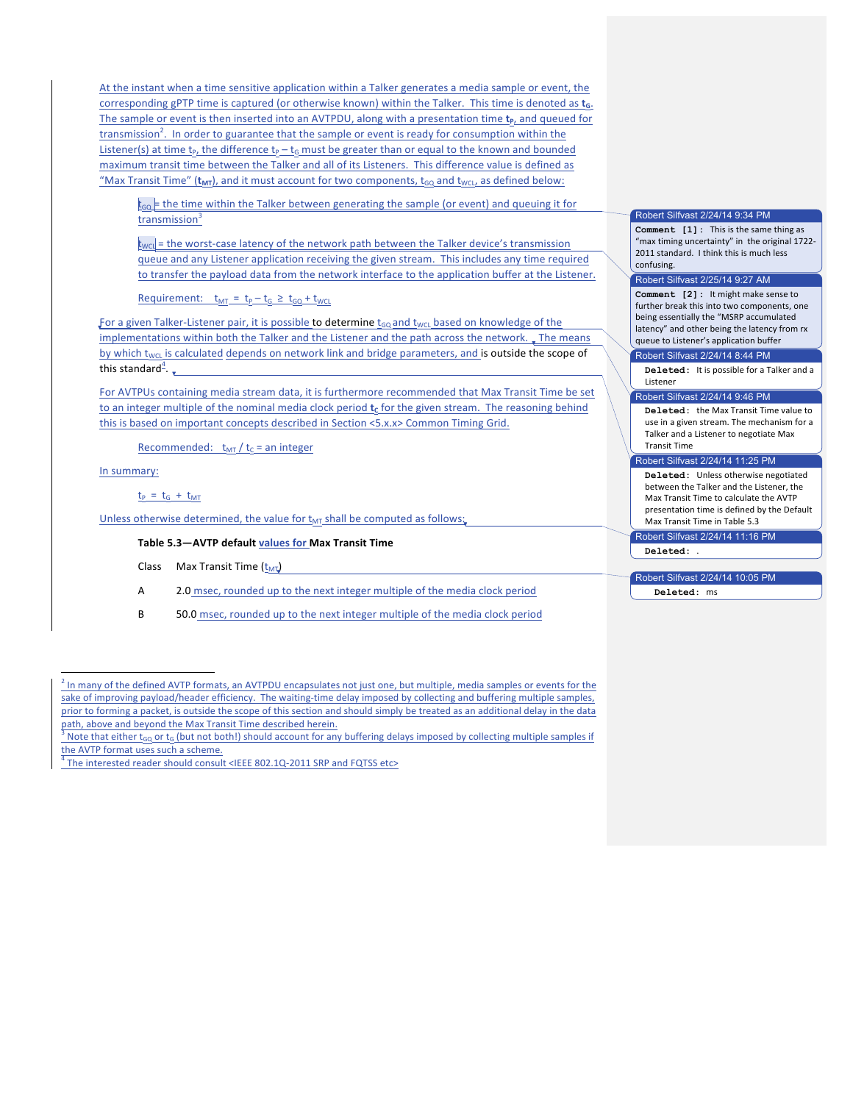At the instant when a time sensitive application within a Talker generates a media sample or event, the corresponding gPTP time is captured (or otherwise known) within the Talker. This time is denoted as t<sub>a</sub>. The sample or event is then inserted into an AVTPDU, along with a presentation time **t**<sub>p</sub>, and queued for transmission<sup>2</sup>. In order to guarantee that the sample or event is ready for consumption within the Listener(s) at time  $t_p$ , the difference  $t_p - t_G$  must be greater than or equal to the known and bounded maximum transit time between the Talker and all of its Listeners. This difference value is defined as "Max Transit Time" ( $t_{MT}$ ), and it must account for two components,  $t_{GO}$  and  $t_{WCL}$ , as defined below:

 $t_{\text{GQ}}$  = the time within the Talker between generating the sample (or event) and queuing it for transmission $3$ 

 $t_{\text{wcl}}$  = the worst-case latency of the network path between the Talker device's transmission queue and any Listener application receiving the given stream. This includes any time required to transfer the payload data from the network interface to the application buffer at the Listener.

Requirement:  $t_{MT} = t_P - t_G \geq t_{GO} + t_{WCL}$ 

For a given Talker-Listener pair, it is possible to determine  $t_{\text{GO}}$  and  $t_{\text{WCL}}$  based on knowledge of the implementations within both the Talker and the Listener and the path across the network. The means by which t<sub>WCL</sub> is calculated depends on network link and bridge parameters, and is outside the scope of this standard $4$ .

For AVTPUs containing media stream data, it is furthermore recommended that Max Transit Time be set to an integer multiple of the nominal media clock period t<sub>c</sub> for the given stream. The reasoning behind this is based on important concepts described in Section  $\langle 5.x.x \rangle$  Common Timing Grid.

Recommended:  $t_{MT}/t_c$  = an integer

In summary:

<u> 1989 - Johann Barn, mars ann an t-Amhain an t-Amhain an t-Amhain an t-Amhain an t-Amhain an t-Amhain an t-Amh</u>

 $t_P = t_G + t_{MT}$ 

Unless otherwise determined, the value for  $t_{MT}$  shall be computed as follows:

# Table 5.3-AVTP default values for Max Transit Time

Class Max Transit Time  $(\underline{t}_{MT})$ 

A 2.0 msec, rounded up to the next integer multiple of the media clock period

B 50.0 msec, rounded up to the next integer multiple of the media clock period

## Robert Silfvast 2/24/14 9:34 PM

**Comment [1]:** This is the same thing as "max timing uncertainty" in the original 1722-2011 standard. I think this is much less confusing.

#### Robert Silfvast 2/25/14 9:27 AM

**Comment** [2]: It might make sense to further break this into two components, one being essentially the "MSRP accumulated latency" and other being the latency from rx queue to Listener's application buffer

## Robert Silfvast 2/24/14 8:44 PM

**Deleted:** It is possible for a Talker and a Listener 

# Robert Silfvast 2/24/14 9:46 PM

**Deleted:** the Max Transit Time value to use in a given stream. The mechanism for a Talker and a Listener to negotiate Max Transit Time

## Robert Silfvast 2/24/14 11:25 PM

**Deleted:** Unless otherwise negotiated between the Talker and the Listener, the Max Transit Time to calculate the AVTP presentation time is defined by the Default Max Transit Time in Table 5.3

Robert Silfvast 2/24/14 11:16 PM

**Deleted:** .

# Robert Silfvast 2/24/14 10:05 PM

**Deleted:** ms

 $^2$  In many of the defined AVTP formats, an AVTPDU encapsulates not just one, but multiple, media samples or events for the sake of improving payload/header efficiency. The waiting-time delay imposed by collecting and buffering multiple samples, prior to forming a packet, is outside the scope of this section and should simply be treated as an additional delay in the data path, above and beyond the Max Transit Time described herein.

<sup>&</sup>lt;sup>3</sup> Note that either  $t_{GO}$  or  $t_G$  (but not both!) should account for any buffering delays imposed by collecting multiple samples if the AVTP format uses such a scheme.<br> $\frac{4}{1}$ The interested reader should consult <IEEE 802.1Q-2011 SRP and FQTSS etc>